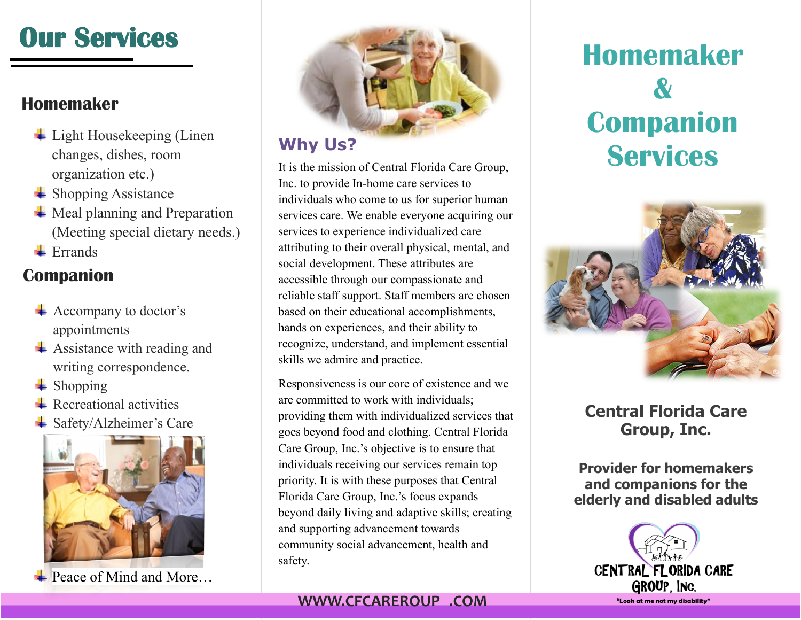# **Our Services**

## **Homemaker**

- $\ddot{\phantom{1}}$  Light Housekeeping (Linen changes, dishes, room organization etc.)
- $\triangleq$  Shopping Assistance
- $\overline{\text{4}}$  Meal planning and Preparation (Meeting special dietary needs.)
- $\blacksquare$  Errands

## **Companion**

- Accompany to doctor's appointments
- $\overline{\phantom{a}}$  Assistance with reading and writing correspondence.
- $\leftarrow$  Shopping
- $\overline{\phantom{a}}$  Recreational activities
- **↓ Safety/Alzheimer's Care**



**E** [Peace of Mind and More…](https://www.google.com/url?sa=i&rct=j&q=&esrc=s&source=images&cd=&cad=rja&uact=8&ved=0ahUKEwjvou2Sw_LPAhWCRCYKHX2NB7QQjRwIBw&url=http://communityseniorservices.org/senior-citizen-programs/&psig=AFQjCNGv3hPQwH9OqCllj37yu2LDo4VL5Q&ust=1477366681299559)



## **Why Us?**

It is the mission of Central Florida Care Group, Inc. to provide In-home care services to individuals who come to us for superior human services care. We enable everyone acquiring our services to experience individualized care attributing to their overall physical, mental, and social development. These attributes are accessible through our compassionate and reliable staff support. Staff members are chosen based on their educational accomplishments, hands on experiences, and their ability to recognize, understand, and implement essential skills we admire and practice.

Responsiveness is our core of existence and we are committed to work with individuals; providing them with individualized services that goes beyond food and clothing. Central Florida Care Group, Inc.'s objective is to ensure that individuals receiving our services remain top priority. It is with these purposes that Central Florida Care Group, Inc.'s focus expands beyond daily living and adaptive skills; creating and supporting advancement towards community social advancement, health and safety.

### **WWW.CFCAREROUP .COM**

# **Homemaker & Companion Services**



## **Central Florida Care Group, Inc.**

**Provider for homemakers and companions for the elderly and disabled adults**